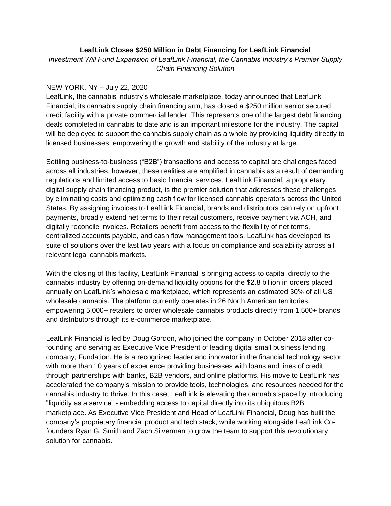## **LeafLink Closes \$250 Million in Debt Financing for LeafLink Financial**

*Investment Will Fund Expansion of LeafLink Financial, the Cannabis Industry's Premier Supply Chain Financing Solution* 

## NEW YORK, NY – July 22, 2020

LeafLink, the cannabis industry's wholesale marketplace, today announced that LeafLink Financial, its cannabis supply chain financing arm, has closed a \$250 million senior secured credit facility with a private commercial lender. This represents one of the largest debt financing deals completed in cannabis to date and is an important milestone for the industry. The capital will be deployed to support the cannabis supply chain as a whole by providing liquidity directly to licensed businesses, empowering the growth and stability of the industry at large.

Settling business-to-business ("B2B") transactions and access to capital are challenges faced across all industries, however, these realities are amplified in cannabis as a result of demanding regulations and limited access to basic financial services. LeafLink Financial, a proprietary digital supply chain financing product, is the premier solution that addresses these challenges by eliminating costs and optimizing cash flow for licensed cannabis operators across the United States. By assigning invoices to LeafLink Financial, brands and distributors can rely on upfront payments, broadly extend net terms to their retail customers, receive payment via ACH, and digitally reconcile invoices. Retailers benefit from access to the flexibility of net terms, centralized accounts payable, and cash flow management tools. LeafLink has developed its suite of solutions over the last two years with a focus on compliance and scalability across all relevant legal cannabis markets.

With the closing of this facility, LeafLink Financial is bringing access to capital directly to the cannabis industry by offering on-demand liquidity options for the \$2.8 billion in orders placed annually on LeafLink's wholesale marketplace, which represents an estimated 30% of all US wholesale cannabis. The platform currently operates in 26 North American territories, empowering 5,000+ retailers to order wholesale cannabis products directly from 1,500+ brands and distributors through its e-commerce marketplace.

LeafLink Financial is led by Doug Gordon, who joined the company in October 2018 after cofounding and serving as Executive Vice President of leading digital small business lending company, Fundation. He is a recognized leader and innovator in the financial technology sector with more than 10 years of experience providing businesses with loans and lines of credit through partnerships with banks, B2B vendors, and online platforms. His move to LeafLink has accelerated the company's mission to provide tools, technologies, and resources needed for the cannabis industry to thrive. In this case, LeafLink is elevating the cannabis space by introducing "liquidity as a service" - embedding access to capital directly into its ubiquitous B2B marketplace. As Executive Vice President and Head of LeafLink Financial, Doug has built the company's proprietary financial product and tech stack, while working alongside LeafLink Cofounders Ryan G. Smith and Zach Silverman to grow the team to support this revolutionary solution for cannabis.